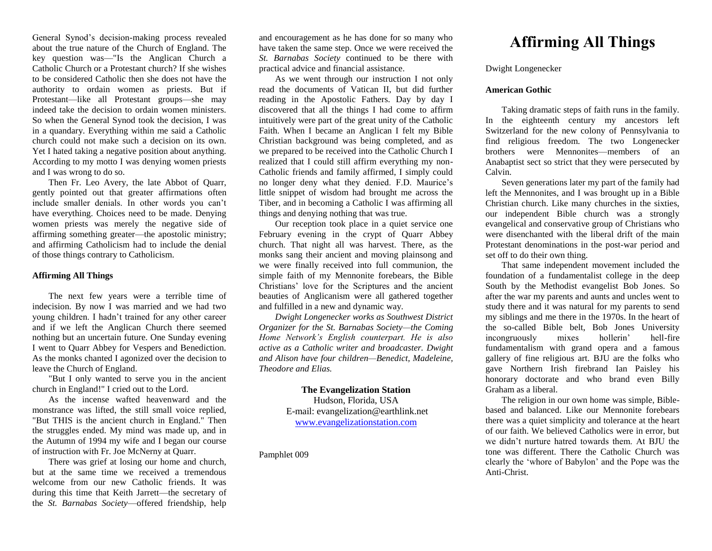General Synod's decision-making process revealed about the true nature of the Church of England. The key question was—"Is the Anglican Church a Catholic Church or a Protestant church? If she wishes to be considered Catholic then she does not have the authority to ordain women as priests. But if Protestant—like all Protestant groups—she may indeed take the decision to ordain women ministers. So when the General Synod took the decision, I was in a quandary. Everything within me said a Catholic church could not make such a decision on its own. Yet I hated taking a negative position about anything. According to my motto I was denying women priests and I was wrong to do so.

Then Fr. Leo Avery, the late Abbot of Quarr, gently pointed out that greater affirmations often include smaller denials. In other words you can't have everything. Choices need to be made. Denying women priests was merely the negative side of affirming something greater—the apostolic ministry; and affirming Catholicism had to include the denial of those things contrary to Catholicism.

### **Affirming All Things**

The next few years were a terrible time of indecision. By now I was married and we had two young children. I hadn't trained for any other career and if we left the Anglican Church there seemed nothing but an uncertain future. One Sunday evening I went to Quarr Abbey for Vespers and Benediction. As the monks chanted I agonized over the decision to leave the Church of England.

"But I only wanted to serve you in the ancient church in England!" I cried out to the Lord.

As the incense wafted heavenward and the monstrance was lifted, the still small voice replied, "But THIS is the ancient church in England." Then the struggles ended. My mind was made up, and in the Autumn of 1994 my wife and I began our course of instruction with Fr. Joe McNerny at Quarr.

There was grief at losing our home and church, but at the same time we received a tremendous welcome from our new Catholic friends. It was during this time that Keith Jarrett—the secretary of the *St. Barnabas Society*—offered friendship, help

and encouragement as he has done for so many who have taken the same step. Once we were received the *St. Barnabas Society* continued to be there with practical advice and financial assistance.

As we went through our instruction I not only read the documents of Vatican II, but did further reading in the Apostolic Fathers. Day by day I discovered that all the things I had come to affirm intuitively were part of the great unity of the Catholic Faith. When I became an Anglican I felt my Bible Christian background was being completed, and as we prepared to be received into the Catholic Church I realized that I could still affirm everything my non-Catholic friends and family affirmed, I simply could no longer deny what they denied. F.D. Maurice's little snippet of wisdom had brought me across the Tiber, and in becoming a Catholic I was affirming all things and denying nothing that was true.

Our reception took place in a quiet service one February evening in the crypt of Quarr Abbey church. That night all was harvest. There, as the monks sang their ancient and moving plainsong and we were finally received into full communion, the simple faith of my Mennonite forebears, the Bible Christians' love for the Scriptures and the ancient beauties of Anglicanism were all gathered together and fulfilled in a new and dynamic way.

*Dwight Longenecker works as Southwest District Organizer for the St. Barnabas Society—the Coming Home Network's English counterpart. He is also active as a Catholic writer and broadcaster. Dwight and Alison have four children—Benedict, Madeleine, Theodore and Elias.*

## **The Evangelization Station**

Hudson, Florida, USA E-mail: evangelization@earthlink.net [www.evangelizationstation.com](http://www.pjpiisoe.org/)

Pamphlet 009

# **Affirming All Things**

Dwight Longenecker

#### **American Gothic**

Taking dramatic steps of faith runs in the family. In the eighteenth century my ancestors left Switzerland for the new colony of Pennsylvania to find religious freedom. The two Longenecker brothers were Mennonites—members of an Anabaptist sect so strict that they were persecuted by Calvin.

Seven generations later my part of the family had left the Mennonites, and I was brought up in a Bible Christian church. Like many churches in the sixties, our independent Bible church was a strongly evangelical and conservative group of Christians who were disenchanted with the liberal drift of the main Protestant denominations in the post-war period and set off to do their own thing.

That same independent movement included the foundation of a fundamentalist college in the deep South by the Methodist evangelist Bob Jones. So after the war my parents and aunts and uncles went to study there and it was natural for my parents to send my siblings and me there in the 1970s. In the heart of the so-called Bible belt, Bob Jones University incongruously mixes hollerin' hell-fire fundamentalism with grand opera and a famous gallery of fine religious art. BJU are the folks who gave Northern Irish firebrand Ian Paisley his honorary doctorate and who brand even Billy Graham as a liberal.

The religion in our own home was simple, Biblebased and balanced. Like our Mennonite forebears there was a quiet simplicity and tolerance at the heart of our faith. We believed Catholics were in error, but we didn't nurture hatred towards them. At BJU the tone was different. There the Catholic Church was clearly the 'whore of Babylon' and the Pope was the Anti-Christ.